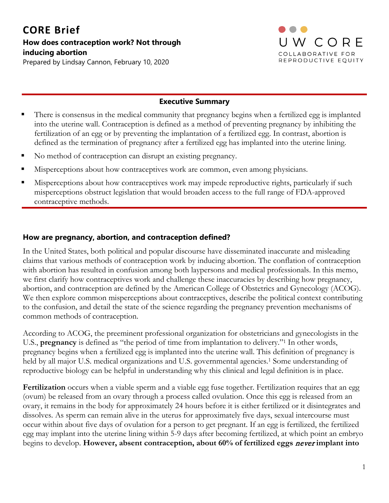# **CORE Brief How does contraception work? Not through inducing abortion**



Prepared by Lindsay Cannon, February 10, 2020

#### **Executive Summary**

- There is consensus in the medical community that pregnancy begins when a fertilized egg is implanted into the uterine wall. Contraception is defined as a method of preventing pregnancy by inhibiting the fertilization of an egg or by preventing the implantation of a fertilized egg. In contrast, abortion is defined as the termination of pregnancy after a fertilized egg has implanted into the uterine lining.
- No method of contraception can disrupt an existing pregnancy.
- Misperceptions about how contraceptives work are common, even among physicians.
- Misperceptions about how contraceptives work may impede reproductive rights, particularly if such misperceptions obstruct legislation that would broaden access to the full range of FDA-approved contraceptive methods.

#### **How are pregnancy, abortion, and contraception defined?**

In the United States, both political and popular discourse have disseminated inaccurate and misleading claims that various methods of contraception work by inducing abortion. The conflation of contraception with abortion has resulted in confusion among both laypersons and medical professionals. In this memo, we first clarify how contraceptives work and challenge these inaccuracies by describing how pregnancy, abortion, and contraception are defined by the American College of Obstetrics and Gynecology (ACOG). We then explore common misperceptions about contraceptives, describe the political context contributing to the confusion, and detail the state of the science regarding the pregnancy prevention mechanisms of common methods of contraception.

According to ACOG, the preeminent professional organization for obstetricians and gynecologists in the U.S., **pregnancy** is defined as "the period of time from implantation to delivery."1 In other words, pregnancy begins when a fertilized egg is implanted into the uterine wall. This definition of pregnancy is held by all major U.S. medical organizations and U.S. governmental agencies.<sup>1</sup> Some understanding of reproductive biology can be helpful in understanding why this clinical and legal definition is in place.

**Fertilization** occurs when a viable sperm and a viable egg fuse together. Fertilization requires that an egg (ovum) be released from an ovary through a process called ovulation. Once this egg is released from an ovary, it remains in the body for approximately 24 hours before it is either fertilized or it disintegrates and dissolves. As sperm can remain alive in the uterus for approximately five days, sexual intercourse must occur within about five days of ovulation for a person to get pregnant. If an egg is fertilized, the fertilized egg may implant into the uterine lining within 5-9 days after becoming fertilized, at which point an embryo begins to develop. **However, absent contraception, about 60% of fertilized eggs** never **implant into**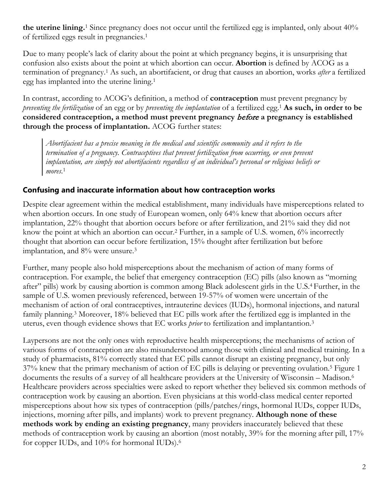**the uterine lining.**<sup>1</sup> Since pregnancy does not occur until the fertilized egg is implanted, only about 40% of fertilized eggs result in pregnancies. 1

Due to many people's lack of clarity about the point at which pregnancy begins, it is unsurprising that confusion also exists about the point at which abortion can occur. **Abortion** is defined by ACOG as a termination of pregnancy.1 As such, an abortifacient, or drug that causes an abortion, works *after* a fertilized egg has implanted into the uterine lining.1

In contrast, according to ACOG's definition, a method of **contraception** must prevent pregnancy by *preventing the fertilization* of an egg or by *preventing the implantation* of a fertilized egg.1 **As such, in order to be considered contraception, a method must prevent pregnancy** before **a pregnancy is established through the process of implantation.** ACOG further states:

*Abortifacient has a precise meaning in the medical and scientific community and it refers to the termination of a pregnancy. Contraceptives that prevent fertilization from occurring, or even prevent implantation, are simply not abortifacients regardless of an individual's personal or religious beliefs or mores.*<sup>1</sup>

### **Confusing and inaccurate information about how contraception works**

Despite clear agreement within the medical establishment, many individuals have misperceptions related to when abortion occurs. In one study of European women, only 64% knew that abortion occurs after implantation, 22% thought that abortion occurs before or after fertilization, and 21% said they did not know the point at which an abortion can occur.<sup>2</sup> Further, in a sample of U.S. women, 6% incorrectly thought that abortion can occur before fertilization, 15% thought after fertilization but before implantation, and 8% were unsure. 3

Further, many people also hold misperceptions about the mechanism of action of many forms of contraception. For example, the belief that emergency contraception (EC) pills (also known as "morning after" pills) work by causing abortion is common among Black adolescent girls in the U.S. 4 Further, in the sample of U.S. women previously referenced, between 19-57% of women were uncertain of the mechanism of action of oral contraceptives, intrauterine devices (IUDs), hormonal injections, and natural family planning.<sup>3</sup> Moreover, 18% believed that EC pills work after the fertilized egg is implanted in the uterus, even though evidence shows that EC works *prior* to fertilization and implantantion.3

Laypersons are not the only ones with reproductive health misperceptions; the mechanisms of action of various forms of contraception are also misunderstood among those with clinical and medical training. In a study of pharmacists, 81% correctly stated that EC pills cannot disrupt an existing pregnancy, but only 37% knew that the primary mechanism of action of EC pills is delaying or preventing ovulation. <sup>5</sup> Figure 1 documents the results of a survey of all healthcare providers at the University of Wisconsin – Madison.<sup>6</sup> Healthcare providers across specialties were asked to report whether they believed six common methods of contraception work by causing an abortion. Even physicians at this world-class medical center reported misperceptions about how six types of contraception (pills/patches/rings, hormonal IUDs, copper IUDs, injections, morning after pills, and implants) work to prevent pregnancy. **Although none of these methods work by ending an existing pregnancy**, many providers inaccurately believed that these methods of contraception work by causing an abortion (most notably, 39% for the morning after pill, 17% for copper IUDs, and 10% for hormonal IUDs).6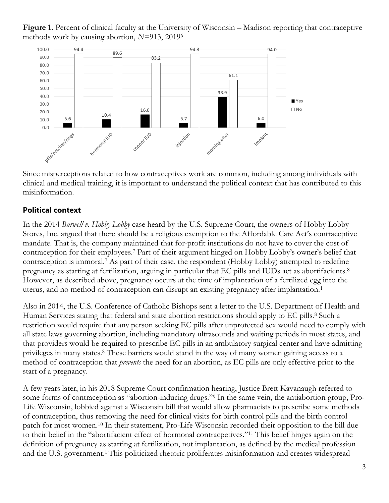Figure 1. Percent of clinical faculty at the University of Wisconsin – Madison reporting that contraceptive methods work by causing abortion, *N=*913, 20196



Since misperceptions related to how contraceptives work are common, including among individuals with clinical and medical training, it is important to understand the political context that has contributed to this misinformation.

# **Political context**

In the 2014 *Burwell v. Hobby Lobby* case heard by the U.S. Supreme Court, the owners of Hobby Lobby Stores, Inc. argued that there should be a religious exemption to the Affordable Care Act's contraceptive mandate. That is, the company maintained that for-profit institutions do not have to cover the cost of contraception for their employees. <sup>7</sup> Part of their argument hinged on Hobby Lobby's owner's belief that contraception is immoral.7 As part of their case, the respondent (Hobby Lobby) attempted to redefine pregnancy as starting at fertilization, arguing in particular that EC pills and IUDs act as abortifacients.8 However, as described above, pregnancy occurs at the time of implantation of a fertilized egg into the uterus, and no method of contraception can disrupt an existing pregnancy after implantation.1

Also in 2014, the U.S. Conference of Catholic Bishops sent a letter to the U.S. Department of Health and Human Services stating that federal and state abortion restrictions should apply to EC pills.<sup>8</sup> Such a restriction would require that any person seeking EC pills after unprotected sex would need to comply with all state laws governing abortion, including mandatory ultrasounds and waiting periods in most states, and that providers would be required to prescribe EC pills in an ambulatory surgical center and have admitting privileges in many states.8 These barriers would stand in the way of many women gaining access to a method of contraception that *prevents* the need for an abortion, as EC pills are only effective prior to the start of a pregnancy.

A few years later, in his 2018 Supreme Court confirmation hearing, Justice Brett Kavanaugh referred to some forms of contraception as "abortion-inducing drugs."9 In the same vein, the antiabortion group, Pro-Life Wisconsin, lobbied against a Wisconsin bill that would allow pharmacists to prescribe some methods of contraception, thus removing the need for clinical visits for birth control pills and the birth control patch for most women.10 In their statement, Pro-Life Wisconsin recorded their opposition to the bill due to their belief in the "abortifacient effect of hormonal contracpetives."11 This belief hinges again on the definition of pregnancy as starting at fertilization, not implantation, as defined by the medical profession and the U.S. government. 1 This politicized rhetoric proliferates misinformation and creates widespread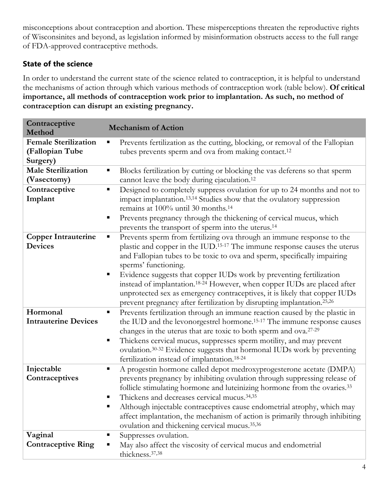misconceptions about contraception and abortion. These misperceptions threaten the reproductive rights of Wisconsinites and beyond, as legislation informed by misinformation obstructs access to the full range of FDA-approved contraceptive methods.

# **State of the science**

In order to understand the current state of the science related to contraception, it is helpful to understand the mechanisms of action through which various methods of contraception work (table below). **Of critical importance, all methods of contraception work prior to implantation. As such, no method of contraception can disrupt an existing pregnancy.**

| Contraceptive<br>Method                                    | <b>Mechanism of Action</b>                                                                                                                                                                                                                                                                                                                                                                                                                                                           |
|------------------------------------------------------------|--------------------------------------------------------------------------------------------------------------------------------------------------------------------------------------------------------------------------------------------------------------------------------------------------------------------------------------------------------------------------------------------------------------------------------------------------------------------------------------|
| <b>Female Sterilization</b><br>(Fallopian Tube<br>Surgery) | Prevents fertilization as the cutting, blocking, or removal of the Fallopian<br>tubes prevents sperm and ova from making contact. <sup>12</sup>                                                                                                                                                                                                                                                                                                                                      |
| <b>Male Sterilization</b><br>(Vasectomy)                   | Blocks fertilization by cutting or blocking the vas deferens so that sperm<br>cannot leave the body during ejaculation. <sup>12</sup>                                                                                                                                                                                                                                                                                                                                                |
| Contraceptive<br>Implant                                   | Designed to completely suppress ovulation for up to 24 months and not to<br>٠<br>impact implantation. <sup>13,14</sup> Studies show that the ovulatory suppression<br>remains at 100% until 30 months. <sup>14</sup><br>Prevents pregnancy through the thickening of cervical mucus, which<br>٠                                                                                                                                                                                      |
|                                                            | prevents the transport of sperm into the uterus. <sup>14</sup>                                                                                                                                                                                                                                                                                                                                                                                                                       |
| <b>Copper Intrauterine</b><br><b>Devices</b>               | Prevents sperm from fertilizing ova through an immune response to the<br>п<br>plastic and copper in the IUD. <sup>15-17</sup> The immune response causes the uterus<br>and Fallopian tubes to be toxic to ova and sperm, specifically impairing<br>sperms' functioning.                                                                                                                                                                                                              |
|                                                            | Evidence suggests that copper IUDs work by preventing fertilization<br>٠<br>instead of implantation. <sup>18-24</sup> However, when copper IUDs are placed after<br>unprotected sex as emergency contraceptives, it is likely that copper IUDs<br>prevent pregnancy after fertilization by disrupting implantation. <sup>25,26</sup>                                                                                                                                                 |
| Hormonal<br><b>Intrauterine Devices</b>                    | Prevents fertilization through an immune reaction caused by the plastic in<br>٠<br>the IUD and the levonorgestrel hormone. <sup>15-17</sup> The immune response causes<br>changes in the uterus that are toxic to both sperm and ova. <sup>27-29</sup><br>Thickens cervical mucus, suppresses sperm motility, and may prevent<br>٠<br>ovulation. <sup>30-32</sup> Evidence suggests that hormonal IUDs work by preventing<br>fertilization instead of implantation. <sup>18-24</sup> |
| Injectable<br>Contraceptives                               | A progestin hormone called depot medroxyprogesterone acetate (DMPA)<br>п<br>prevents pregnancy by inhibiting ovulation through suppressing release of<br>follicle stimulating hormone and luteinizing hormone from the ovaries. <sup>33</sup><br>Thickens and decreases cervical mucus. <sup>34,35</sup><br>٠<br>Although injectable contraceptives cause endometrial atrophy, which may<br>affect implantation, the mechanism of action is primarily through inhibiting             |
|                                                            | ovulation and thickening cervical mucus. <sup>35,36</sup>                                                                                                                                                                                                                                                                                                                                                                                                                            |
| Vaginal<br><b>Contraceptive Ring</b>                       | Suppresses ovulation.<br>٠<br>May also affect the viscosity of cervical mucus and endometrial<br>thickness. <sup>37,38</sup>                                                                                                                                                                                                                                                                                                                                                         |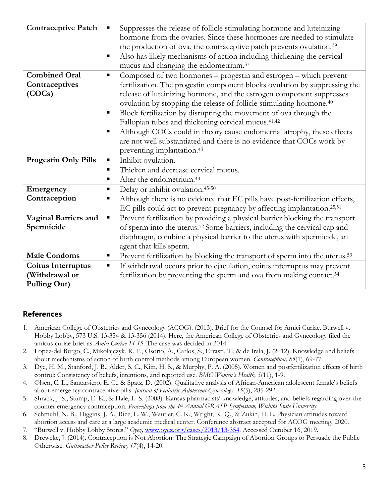| <b>Contraceptive Patch</b>  | ٠<br>٠ | Suppresses the release of follicle stimulating hormone and luteinizing<br>hormone from the ovaries. Since these hormones are needed to stimulate<br>the production of ova, the contraceptive patch prevents ovulation. <sup>39</sup><br>Also has likely mechanisms of action including thickening the cervical<br>mucus and changing the endometrium. <sup>37</sup> |
|-----------------------------|--------|---------------------------------------------------------------------------------------------------------------------------------------------------------------------------------------------------------------------------------------------------------------------------------------------------------------------------------------------------------------------|
| <b>Combined Oral</b>        | п      | Composed of two hormones – progestin and estrogen – which prevent                                                                                                                                                                                                                                                                                                   |
| Contraceptives              |        | fertilization. The progestin component blocks ovulation by suppressing the                                                                                                                                                                                                                                                                                          |
| (COCs)                      |        | release of luteinizing hormone, and the estrogen component suppresses<br>ovulation by stopping the release of follicle stimulating hormone. <sup>40</sup>                                                                                                                                                                                                           |
|                             | ٠      | Block fertilization by disrupting the movement of ova through the                                                                                                                                                                                                                                                                                                   |
|                             |        | Fallopian tubes and thickening cervical mucus. <sup>41,42</sup>                                                                                                                                                                                                                                                                                                     |
|                             | ٠      | Although COCs could in theory cause endometrial atrophy, these effects                                                                                                                                                                                                                                                                                              |
|                             |        | are not well substantiated and there is no evidence that COCs work by                                                                                                                                                                                                                                                                                               |
|                             |        | preventing implantation. <sup>43</sup>                                                                                                                                                                                                                                                                                                                              |
| <b>Progestin Only Pills</b> | ٠      | Inhibit ovulation.                                                                                                                                                                                                                                                                                                                                                  |
|                             | ٠      | Thicken and decrease cervical mucus.                                                                                                                                                                                                                                                                                                                                |
|                             | ٠      | Alter the endometrium. <sup>44</sup>                                                                                                                                                                                                                                                                                                                                |
| Emergency                   | ٠      | Delay or inhibit ovulation. <sup>45-50</sup>                                                                                                                                                                                                                                                                                                                        |
|                             |        |                                                                                                                                                                                                                                                                                                                                                                     |
| Contraception               | ٠      | Although there is no evidence that EC pills have post-fertilization effects,                                                                                                                                                                                                                                                                                        |
|                             |        | EC pills could act to prevent pregnancy by affecting implantation. <sup>25,51</sup>                                                                                                                                                                                                                                                                                 |
| <b>Vaginal Barriers and</b> | ٠      | Prevent fertilization by providing a physical barrier blocking the transport                                                                                                                                                                                                                                                                                        |
| Spermicide                  |        | of sperm into the uterus. <sup>52</sup> Some barriers, including the cervical cap and                                                                                                                                                                                                                                                                               |
|                             |        | diaphragm, combine a physical barrier to the uterus with spermicide, an                                                                                                                                                                                                                                                                                             |
|                             |        | agent that kills sperm.                                                                                                                                                                                                                                                                                                                                             |
| <b>Male Condoms</b>         | п      | Prevent fertilization by blocking the transport of sperm into the uterus. <sup>53</sup>                                                                                                                                                                                                                                                                             |
| Coitus Interruptus          | ٠      | If withdrawal occurs prior to ejaculation, coitus interruptus may prevent                                                                                                                                                                                                                                                                                           |
| (Withdrawal or              |        | fertilization by preventing the sperm and ova from making contact. <sup>54</sup>                                                                                                                                                                                                                                                                                    |
| <b>Pulling Out)</b>         |        |                                                                                                                                                                                                                                                                                                                                                                     |

## **References**

- 1. American College of Obstetrics and Gynecology (ACOG). (2013). Brief for the Counsel for Amici Curiae. Burwell v. Hobby Lobby, 573 U.S. 13-354 & 13-356 (2014). Here, the American College of Obstetrics and Gynecology filed the amicus curiae brief as *Amici Curiae 14-15*. The case was decided in 2014.
- 2. Lopez-del Burgo, C., Mikolajczyk, R. T., Osorio, A., Carlos, S., Errasti, T., & de Irala, J. (2012). Knowledge and beliefs about mechanisms of action of birth control methods among European women. *Contraception, 85*(1), 69-77.
- 3. Dye, H. M., Stanford, J. B., Alder, S. C., Kim, H. S., & Murphy, P. A. (2005). Women and postfertilization effects of birth control: Consistency of beliefs, intentions, and reported use. *BMC Women's Health, 5*(11), 1-9.
- 4. Olsen, C. L., Santarsiero, E. C., & Spatz, D. (2002). Qualitative analysis of African-American adolescent female's beliefs about emergency contraceptive pills. *Journal of Pediatric Adolescent Gynecology, 15*(5), 285-292.
- 5. Shrack, J. S., Stump, E. K., & Hale, L. S. (2008). Kansas pharmacists' knowledge, attitudes, and beliefs regarding over-thecounter emergency contraception. *Proceedings from the 4th Annual GRASP Symposium, Wichita State University.*
- 6. Schmuhl, N. B., Higgins, J. A., Rice, L. W., Wautlet, C. K., Wright, K. Q., & Zukin, H. L. Physician attitudes toward abortion access and care at a large academic medical center. Conference abstract accepted for ACOG meeting, 2020.
- 7. "Burwell v. Hobby Lobby Stores." *Oyez,* [www.oyez.org/cases/2013/13-354.](http://www.oyez.org/cases/2013/13-354) Accessed October 16, 2019.
- 8. Dreweke, J. (2014). Contraception is Not Abortion: The Strategic Campaign of Abortion Groups to Persuade the Public Otherwise. *Guttmacher Policy Review, 17*(4), 14-20.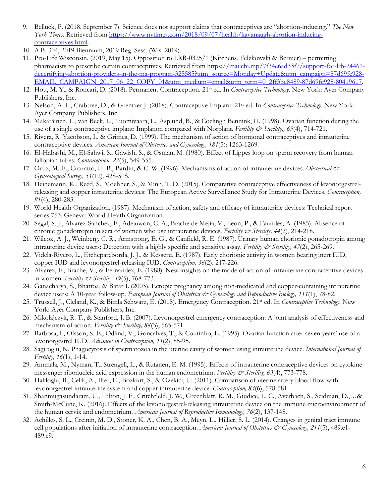- 9. Belluck, P. (2018, September 7). Science does not support claims that contraceptives are "abortion-inducing." *The New York Times*. Retrieved fro[m https://www.nytimes.com/2018/09/07/health/kavanaugh-abortion-inducing](https://www.nytimes.com/2018/09/07/health/kavanaugh-abortion-inducing-contraceptives.html)[contraceptives.html.](https://www.nytimes.com/2018/09/07/health/kavanaugh-abortion-inducing-contraceptives.html)
- 10. A.B. 304, 2019 Biennium, 2019 Reg. Sess. (Wis. 2019).
- 11. Pro-Life Wisconsin. (2019, May 15). Opposition to LRB-0325/1 (Kitchens, Felzkowski & Bernier) permitting pharmacists to prescribe certain contraceptives. Retrieved from [https://mailchi.mp/7f34e6ad33f7/support-for-lrb-24461](https://mailchi.mp/7f34e6ad33f7/support-for-lrb-24461-decertifying-abortion-providers-in-the-ma-program-325585?utm_source=Monday+Update&utm_campaign=87d69fc928-EMAIL_CAMPAIGN_2017_06_22_COPY_01&utm_medium=email&utm_term=0_2ff3be8489-87d69fc928-80419617) [decertifying-abortion-providers-in-the-ma-program-325585?utm\\_source=Monday+Update&utm\\_campaign=87d69fc928-](https://mailchi.mp/7f34e6ad33f7/support-for-lrb-24461-decertifying-abortion-providers-in-the-ma-program-325585?utm_source=Monday+Update&utm_campaign=87d69fc928-EMAIL_CAMPAIGN_2017_06_22_COPY_01&utm_medium=email&utm_term=0_2ff3be8489-87d69fc928-80419617) [EMAIL\\_CAMPAIGN\\_2017\\_06\\_22\\_COPY\\_01&utm\\_medium=email&utm\\_term=0\\_2ff3be8489-87d69fc928-80419617.](https://mailchi.mp/7f34e6ad33f7/support-for-lrb-24461-decertifying-abortion-providers-in-the-ma-program-325585?utm_source=Monday+Update&utm_campaign=87d69fc928-EMAIL_CAMPAIGN_2017_06_22_COPY_01&utm_medium=email&utm_term=0_2ff3be8489-87d69fc928-80419617)
- 12. Hou, M. Y., & Roncari, D. (2018). Permanent Contraception. 21st ed. In *Contraceptive Technology.* New York: Ayer Company Publishers, Inc.
- 13. Nelson, A. L., Crabtree, D., & Grentzer J. (2018). Contraceptive Implant. 21st ed. In *Contraceptive Technology.* New York: Ayer Company Publishers, Inc.
- 14. Mäkäräinen, L., van Beek, L., Tuomivaara, L., Asplund, B., & Coelingh Bennink, H. (1998). Ovarian function during the use of a single contraceptive implant: Implanon compared with Norplant. *Fertility & Sterility,, 69*(4), 714-721.
- 15. Rivera, R. Yacobson, I., & Grimes, D. (1999). The mechanism of action of hormonal contraceptives and intrauterine contraceptive devices. *American Journal of Obstetrics and Gynecology, 181*(5): 1263-1269.
- 16. El-Habashi, M., El-Sahwi, S., Gawish, S., & Osman, M. (1980). Effect of Lippes loop on sperm recovery from human fallopian tubes. *Contraception, 22*(5), 549-555.
- 17. Ortiz, M. E., Croxatto, H. B., Bardin, & C. W. (1996). Mechanisms of action of intrauterine devices. *Obstetrical & Gynecological Survey, 51*(12), 42S-51S.
- 18. Heinemann, K., Reed, S., Moehner, S., & Minh, T. D. (2015). Comparative contraceptive effectiveness of levonorgestrelreleasing and copper intrauterine devices: The European Active Surveillance Study for Intrauterine Devices. *Contraception, 91*(4), 280-283.
- 19. World Health Organization. (1987). Mechanism of action, safety and efficacy of intrauterine devices: Technical report series 753. Geneva: World Health Organization.
- 20. Segal, S. J., Alvarez-Sanchez, F., Adejuwon, C. A., Brache de Mejia, V., Leon, P., & Faundes, A. (1985). Absence of chronic gonadotropin in sera of women who use intrauterine devices. *Fertility & Sterility, 44*(2), 214-218.
- 21. Wilcox, A. J., Weinberg, C. R., Armstrong, E. G., & Canfield, R. E. (1987). Urinary human chorionic gonadotropin among intrauterine device users: Detection with a highly specific and sensitive assay. *Fertility & Sterility, 47*(2), 265-269.
- 22. Videla-Rivero, L., Etchepareborda, J. J., & Kesseru, E. (1987). Early chorionic activity in women bearing inert IUD, copper IUD and levonorgestrel-releasing IUD. *Contraception, 36*(2), 217-226.
- 23. Alvarez, F., Brache, V., & Fernandez, E. (1988). New insights on the mode of action of intrauterine contraceptive devices in women. *Fertility & Sterility, 49*(5), 768-773.
- 24. Ganacharya, S., Bhattoa, & Batar I. (2003). Ectopic pregnancy among non-medicated and copper-containing intrauterine device users: A 10-year follow-up. *European Journal of Obstetrics & Gynecology and Reproductive Biology, 111*(1), 78-82.
- 25. Trussell, J., Cleland, K., & Bimla Schwarz, E. (2018). Emergency Contraception. 21st ed. In *Contraceptive Technology.* New York: Ayer Company Publishers, Inc.
- 26. Mikolajczyk, R. T., & Stanford, J. B. (2007). Levonorgestrel emergency contraception: A joint analysis of effectiveness and mechanism of action. *Fertility*  $\mathcal{E}$  Sterility, 88(3), 565-571.
- 27. Barbosa, I., Olsson, S. E., Odlind, V., Goncalves, T., & Coutinho, E. (1995). Ovarian function after seven years' use of a levonorgestrel IUD. *Advances in Contraception, 11*(2), 85-95.
- 28. Sagiroglu, N. Phagocytosis of spermatozoa in the uterine cavity of women using intrauterine device. *International Journal of Fertility, 16*(1), 1-14.
- 29. Ammala, M., Nyman, T., Strengell, L., & Rutanen, E. M. (1995). Effects of intrauterine contraceptive devices on cytokine messenger ribonucleic acid expression in the human endometrium. *Fertility & Sterility, 63*(4), 773-778.
- 30. Haliloglu, B., Celik, A., Ilter, E., Bozkurt, S., & Ozekici, U. (2011). Comparison of uterine artery blood flow with levonorgestrel intrauterine system and copper intrauterine device. *Contraception, 83*(6), 578-581.
- 31. Shanmugasundaram, U., Hilton, J. F., Critchfield, J. W., Greenblatt, R. M., Giudice, L. C., Averbach, S., Seidman, D.,…& Smith-McCune, K. (2016). Effects of the levonorgestrel-releasing intrauterine device on the immune microenvironment of the human cervix and endometrium. *American Journal of Reproductive Immunology, 76*(2), 137-148.
- 32. Achilles, S. L., Creinin, M. D., Stoner, K. A., Chen, B. A., Meyn, L., Hillier, S. L. (2014). Changes in genital tract immune cell populations after initiation of intrauterine contraception. *American Journal of Obstetrics & Gynecology, 211*(5), 489.e1-489.e9.